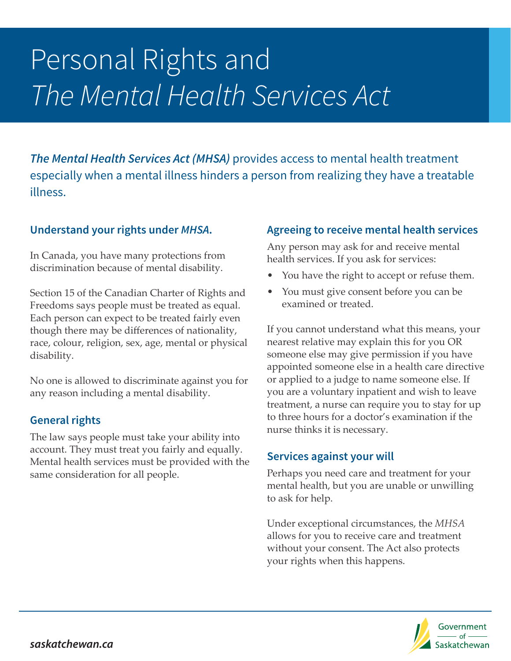# Personal Rights and *The Mental Health Services Act*

*The Mental Health Services Act (MHSA)* provides access to mental health treatment especially when a mental illness hinders a person from realizing they have a treatable illness.

### **Understand your rights under** *MHSA***.**

In Canada, you have many protections from discrimination because of mental disability.

Section 15 of the Canadian Charter of Rights and Freedoms says people must be treated as equal. Each person can expect to be treated fairly even though there may be differences of nationality, race, colour, religion, sex, age, mental or physical disability.

No one is allowed to discriminate against you for any reason including a mental disability.

#### **General rights**

The law says people must take your ability into account. They must treat you fairly and equally. Mental health services must be provided with the same consideration for all people.

### **Agreeing to receive mental health services**

Any person may ask for and receive mental health services. If you ask for services:

- You have the right to accept or refuse them.
- You must give consent before you can be examined or treated.

If you cannot understand what this means, your nearest relative may explain this for you OR someone else may give permission if you have appointed someone else in a health care directive or applied to a judge to name someone else. If you are a voluntary inpatient and wish to leave treatment, a nurse can require you to stay for up to three hours for a doctor's examination if the nurse thinks it is necessary.

## **Services against your will**

Perhaps you need care and treatment for your mental health, but you are unable or unwilling to ask for help.

Under exceptional circumstances, the *MHSA*  allows for you to receive care and treatment without your consent. The Act also protects your rights when this happens.

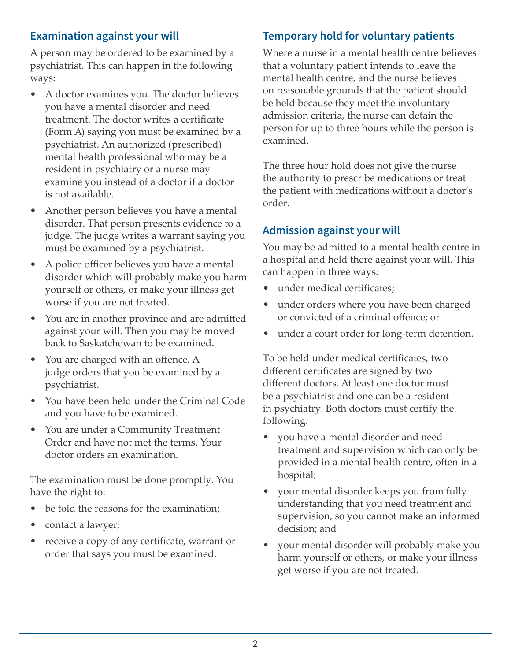## **Examination against your will**

A person may be ordered to be examined by a psychiatrist. This can happen in the following ways:

- A doctor examines you. The doctor believes you have a mental disorder and need treatment. The doctor writes a certificate (Form A) saying you must be examined by a psychiatrist. An authorized (prescribed) mental health professional who may be a resident in psychiatry or a nurse may examine you instead of a doctor if a doctor is not available.
- Another person believes you have a mental disorder. That person presents evidence to a judge. The judge writes a warrant saying you must be examined by a psychiatrist.
- A police officer believes you have a mental disorder which will probably make you harm yourself or others, or make your illness get worse if you are not treated.
- You are in another province and are admitted against your will. Then you may be moved back to Saskatchewan to be examined.
- You are charged with an offence. A judge orders that you be examined by a psychiatrist.
- You have been held under the Criminal Code and you have to be examined.
- You are under a Community Treatment Order and have not met the terms. Your doctor orders an examination.

The examination must be done promptly. You have the right to:

- be told the reasons for the examination;
- contact a lawyer;
- receive a copy of any certificate, warrant or order that says you must be examined.

## **Temporary hold for voluntary patients**

Where a nurse in a mental health centre believes that a voluntary patient intends to leave the mental health centre, and the nurse believes on reasonable grounds that the patient should be held because they meet the involuntary admission criteria, the nurse can detain the person for up to three hours while the person is examined.

The three hour hold does not give the nurse the authority to prescribe medications or treat the patient with medications without a doctor's order.

#### **Admission against your will**

You may be admitted to a mental health centre in a hospital and held there against your will. This can happen in three ways:

- under medical certificates;
- under orders where you have been charged or convicted of a criminal offence; or
- under a court order for long-term detention.

To be held under medical certificates, two different certificates are signed by two different doctors. At least one doctor must be a psychiatrist and one can be a resident in psychiatry. Both doctors must certify the following:

- you have a mental disorder and need treatment and supervision which can only be provided in a mental health centre, often in a hospital;
- your mental disorder keeps you from fully understanding that you need treatment and supervision, so you cannot make an informed decision; and
- your mental disorder will probably make you harm yourself or others, or make your illness get worse if you are not treated.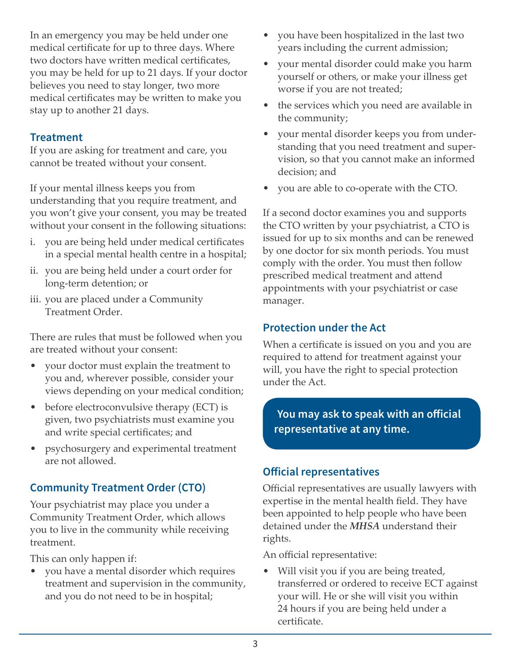In an emergency you may be held under one medical certificate for up to three days. Where two doctors have written medical certificates, you may be held for up to 21 days. If your doctor believes you need to stay longer, two more medical certificates may be written to make you stay up to another 21 days.

## **Treatment**

If you are asking for treatment and care, you cannot be treated without your consent.

If your mental illness keeps you from understanding that you require treatment, and you won't give your consent, you may be treated without your consent in the following situations:

- i. you are being held under medical certificates in a special mental health centre in a hospital;
- ii. you are being held under a court order for long-term detention; or
- iii. you are placed under a Community Treatment Order.

There are rules that must be followed when you are treated without your consent:

- your doctor must explain the treatment to you and, wherever possible, consider your views depending on your medical condition;
- before electroconvulsive therapy (ECT) is given, two psychiatrists must examine you and write special certificates; and
- psychosurgery and experimental treatment are not allowed.

# **Community Treatment Order (CTO)**

Your psychiatrist may place you under a Community Treatment Order, which allows you to live in the community while receiving treatment.

This can only happen if:

• you have a mental disorder which requires treatment and supervision in the community, and you do not need to be in hospital;

- you have been hospitalized in the last two years including the current admission;
- your mental disorder could make you harm yourself or others, or make your illness get worse if you are not treated;
- the services which you need are available in the community;
- your mental disorder keeps you from understanding that you need treatment and supervision, so that you cannot make an informed decision; and
- you are able to co-operate with the CTO.

If a second doctor examines you and supports the CTO written by your psychiatrist, a CTO is issued for up to six months and can be renewed by one doctor for six month periods. You must comply with the order. You must then follow prescribed medical treatment and attend appointments with your psychiatrist or case manager.

## **Protection under the Act**

When a certificate is issued on you and you are required to attend for treatment against your will, you have the right to special protection under the Act.

**You may ask to speak with an official representative at any time.**

## **Official representatives**

Official representatives are usually lawyers with expertise in the mental health field. They have been appointed to help people who have been detained under the *MHSA* understand their rights.

An official representative:

• Will visit you if you are being treated, transferred or ordered to receive ECT against your will. He or she will visit you within 24 hours if you are being held under a certificate.